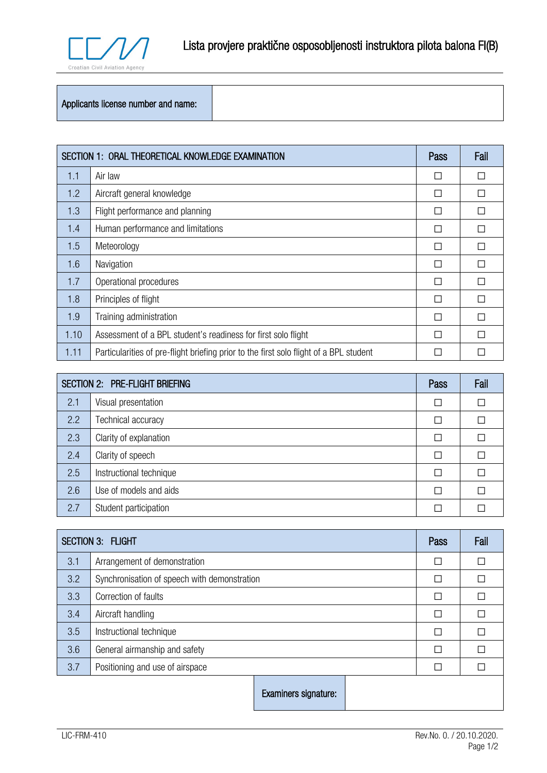

## Applicants license number and name:

| SECTION 1: ORAL THEORETICAL KNOWLEDGE EXAMINATION |                                                                                        | Pass | Fail |
|---------------------------------------------------|----------------------------------------------------------------------------------------|------|------|
| 1.1                                               | Air law                                                                                | П    |      |
| 1.2                                               | Aircraft general knowledge                                                             | П    |      |
| 1.3                                               | Flight performance and planning                                                        | П    |      |
| 1.4                                               | Human performance and limitations                                                      | П    |      |
| 1.5                                               | Meteorology                                                                            | П    |      |
| 1.6                                               | Navigation                                                                             | П    |      |
| 1.7                                               | Operational procedures                                                                 | П    |      |
| 1.8                                               | Principles of flight                                                                   | П    |      |
| 1.9                                               | Training administration                                                                | П    |      |
| 1.10                                              | Assessment of a BPL student's readiness for first solo flight                          | П    |      |
| 1.11                                              | Particularities of pre-flight briefing prior to the first solo flight of a BPL student |      |      |

| <b>SECTION 2: PRE-FLIGHT BRIEFING</b> |                         | Pass   | Fail |
|---------------------------------------|-------------------------|--------|------|
| 2.1                                   | Visual presentation     | П      |      |
| 2.2                                   | Technical accuracy      | $\Box$ |      |
| 2.3                                   | Clarity of explanation  | П      |      |
| 2.4                                   | Clarity of speech       | П      |      |
| 2.5                                   | Instructional technique | П      |      |
| 2.6                                   | Use of models and aids  | П      |      |
| 2.7                                   | Student participation   | П      |      |

| <b>SECTION 3: FLIGHT</b> |                                              | Pass | Fail |
|--------------------------|----------------------------------------------|------|------|
| 3.1                      | Arrangement of demonstration                 |      |      |
| 3.2                      | Synchronisation of speech with demonstration |      |      |
| 3.3                      | Correction of faults                         |      |      |
| 3.4                      | Aircraft handling                            |      |      |
| 3.5                      | Instructional technique                      |      |      |
| 3.6                      | General airmanship and safety                |      |      |
| 3.7                      | Positioning and use of airspace              |      |      |
|                          | Examiners signature:                         |      |      |